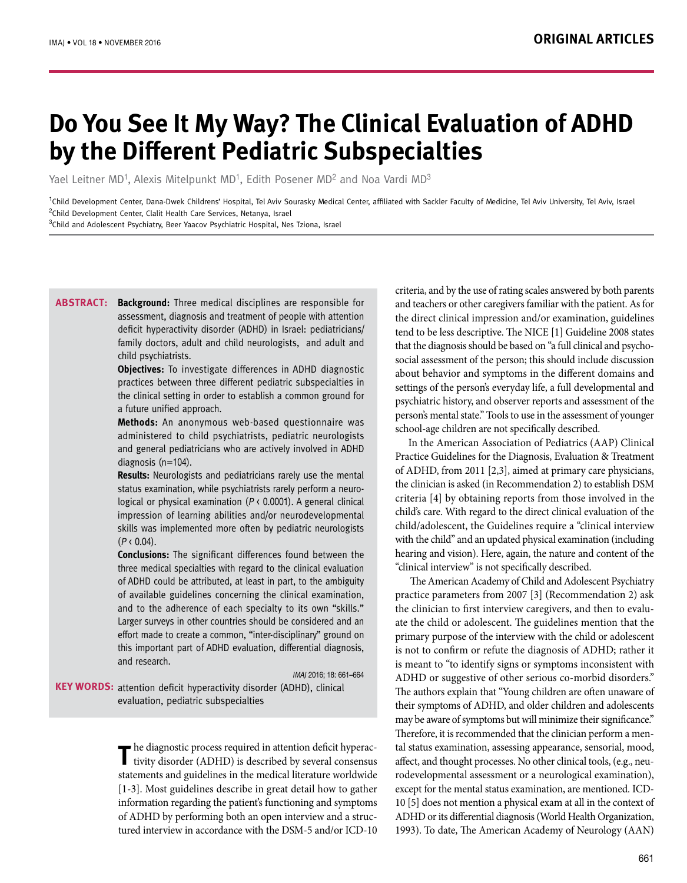# **Do You See It My Way? The Clinical Evaluation of ADHD by the Different Pediatric Subspecialties**

Yael Leitner MD<sup>1</sup>, Alexis Mitelpunkt MD<sup>1</sup>, Edith Posener MD<sup>2</sup> and Noa Vardi MD<sup>3</sup>

<sup>1</sup>Child Development Center, Dana-Dwek Childrens' Hospital, Tel Aviv Sourasky Medical Center, affiliated with Sackler Faculty of Medicine, Tel Aviv University, Tel Aviv, Israel <sup>2</sup>Child Development Center, Clalit Health Care Services, Netanya, Israel

<sup>3</sup>Child and Adolescent Psychiatry, Beer Yaacov Psychiatric Hospital, Nes Tziona, Israel

**Background:** Three medical disciplines are responsible for **Abstract:** assessment, diagnosis and treatment of people with attention deficit hyperactivity disorder (ADHD) in Israel: pediatricians/ family doctors, adult and child neurologists, and adult and child psychiatrists.

**Objectives:** To investigate differences in ADHD diagnostic practices between three different pediatric subspecialties in the clinical setting in order to establish a common ground for a future unified approach.

**Methods:** An anonymous web-based questionnaire was administered to child psychiatrists, pediatric neurologists and general pediatricians who are actively involved in ADHD diagnosis (n=104).

**Results:** Neurologists and pediatricians rarely use the mental status examination, while psychiatrists rarely perform a neurological or physical examination ( $P \triangleleft 0.0001$ ). A general clinical impression of learning abilities and/or neurodevelopmental skills was implemented more often by pediatric neurologists  $(P \, \langle \, 0.04 \rangle)$ .

**Conclusions:** The significant differences found between the three medical specialties with regard to the clinical evaluation of ADHD could be attributed, at least in part, to the ambiguity of available guidelines concerning the clinical examination, and to the adherence of each specialty to its own "skills." Larger surveys in other countries should be considered and an effort made to create a common, "inter-disciplinary" ground on this important part of ADHD evaluation, differential diagnosis, and research.

IMAJ 2016; 18: 661–664

**KEY WORDS:** attention deficit hyperactivity disorder (ADHD), clinical evaluation, pediatric subspecialties

> The diagnostic process required in attention deficit hyperactivity disorder (ADHD) is described by several consensus statements and guidelines in the medical literature worldwide [1-3]. Most guidelines describe in great detail how to gather information regarding the patient's functioning and symptoms of ADHD by performing both an open interview and a structured interview in accordance with the DSM-5 and/or ICD-10

criteria, and by the use of rating scales answered by both parents and teachers or other caregivers familiar with the patient. As for the direct clinical impression and/or examination, guidelines tend to be less descriptive. The NICE [1] Guideline 2008 states that the diagnosis should be based on "a full clinical and psychosocial assessment of the person; this should include discussion about behavior and symptoms in the different domains and settings of the person's everyday life, a full developmental and psychiatric history, and observer reports and assessment of the person's mental state." Tools to use in the assessment of younger school-age children are not specifically described.

In the American Association of Pediatrics (AAP) Clinical Practice Guidelines for the Diagnosis, Evaluation & Treatment of ADHD, from 2011 [2,3], aimed at primary care physicians, the clinician is asked (in Recommendation 2) to establish DSM criteria [4] by obtaining reports from those involved in the child's care. With regard to the direct clinical evaluation of the child/adolescent, the Guidelines require a "clinical interview with the child" and an updated physical examination (including hearing and vision). Here, again, the nature and content of the "clinical interview" is not specifically described.

 The American Academy of Child and Adolescent Psychiatry practice parameters from 2007 [3] (Recommendation 2) ask the clinician to first interview caregivers, and then to evaluate the child or adolescent. The guidelines mention that the primary purpose of the interview with the child or adolescent is not to confirm or refute the diagnosis of ADHD; rather it is meant to "to identify signs or symptoms inconsistent with ADHD or suggestive of other serious co-morbid disorders." The authors explain that "Young children are often unaware of their symptoms of ADHD, and older children and adolescents may be aware of symptoms but will minimize their significance." Therefore, it is recommended that the clinician perform a mental status examination, assessing appearance, sensorial, mood, affect, and thought processes. No other clinical tools, (e.g., neurodevelopmental assessment or a neurological examination), except for the mental status examination, are mentioned. ICD-10 [5] does not mention a physical exam at all in the context of ADHD or its differential diagnosis (World Health Organization, 1993). To date, The American Academy of Neurology (AAN)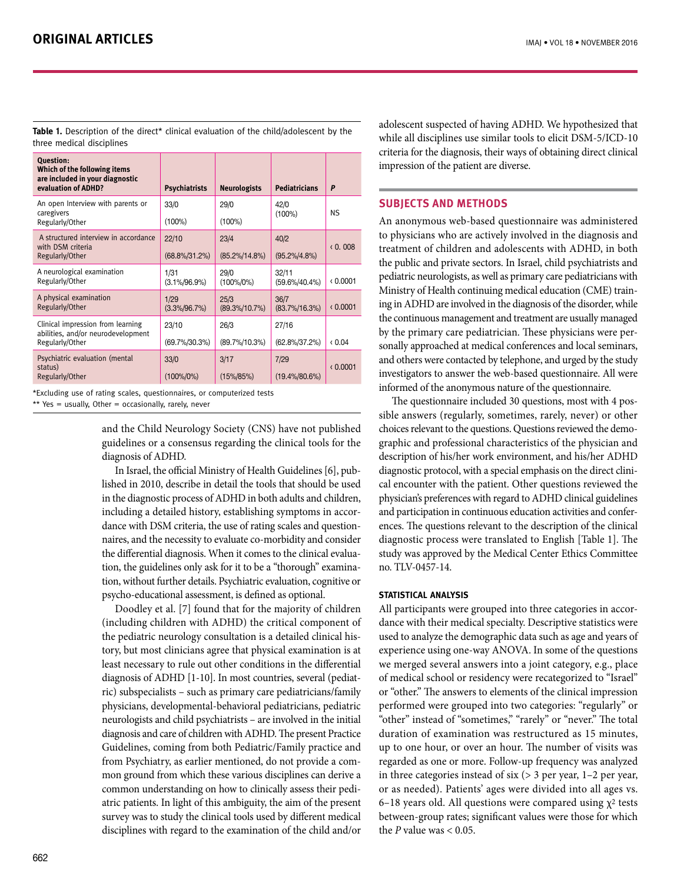**Table 1.** Description of the direct\* clinical evaluation of the child/adolescent by the three medical disciplines

| <b>Ouestion:</b><br>Which of the following items<br>are included in your diagnostic<br>evaluation of ADHD? | <b>Psychiatrists</b>       | <b>Neurologists</b>       | <b>Pediatricians</b>       | P        |
|------------------------------------------------------------------------------------------------------------|----------------------------|---------------------------|----------------------------|----------|
| An open Interview with parents or<br>caregivers<br>Regularly/Other                                         | 33/0<br>$(100\%)$          | 29/0<br>$(100\%)$         | 42/0<br>$(100\%)$          | NS.      |
| A structured interview in accordance<br>with DSM criteria<br>Regularly/Other                               | 22/10<br>$(68.8\%/31.2\%)$ | 23/4<br>$(85.2\%/14.8\%)$ | 40/2<br>$(95.2\%/4.8\%)$   | (0.008)  |
| A neurological examination<br>Regularly/Other                                                              | 1/31<br>$(3.1\%/96.9\%)$   | 29/0<br>$(100\%/0\%)$     | 32/11<br>$(59.6\%/40.4\%)$ | (0.0001) |
| A physical examination<br>Regularly/Other                                                                  | 1/29<br>$(3.3\%/96.7\%)$   | 25/3<br>$(89.3\%/10.7\%)$ | 36/7<br>$(83.7\%/16.3\%)$  | (0.0001) |
| Clinical impression from learning<br>abilities, and/or neurodevelopment<br>Regularly/Other                 | 23/10<br>(69.7%/30.3%)     | 26/3<br>$(89.7\%/10.3\%)$ | 27/16<br>$(62.8\%/37.2\%)$ | (0.04)   |
| Psychiatric evaluation (mental<br>status)<br>Regularly/Other                                               | 33/0<br>$(100\%/0\%)$      | 3/17<br>$(15\%/85\%)$     | 7/29<br>$(19.4\%/80.6\%)$  | (0.0001) |

\*Excluding use of rating scales, questionnaires, or computerized tests

\*\* Yes = usually, Other = occasionally, rarely, never

and the Child Neurology Society (CNS) have not published guidelines or a consensus regarding the clinical tools for the diagnosis of ADHD.

In Israel, the official Ministry of Health Guidelines [6], published in 2010, describe in detail the tools that should be used in the diagnostic process of ADHD in both adults and children, including a detailed history, establishing symptoms in accordance with DSM criteria, the use of rating scales and questionnaires, and the necessity to evaluate co-morbidity and consider the differential diagnosis. When it comes to the clinical evaluation, the guidelines only ask for it to be a "thorough" examination, without further details. Psychiatric evaluation, cognitive or psycho-educational assessment, is defined as optional.

Doodley et al. [7] found that for the majority of children (including children with ADHD) the critical component of the pediatric neurology consultation is a detailed clinical history, but most clinicians agree that physical examination is at least necessary to rule out other conditions in the differential diagnosis of ADHD [1-10]. In most countries, several (pediatric) subspecialists – such as primary care pediatricians/family physicians, developmental-behavioral pediatricians, pediatric neurologists and child psychiatrists – are involved in the initial diagnosis and care of children with ADHD. The present Practice Guidelines, coming from both Pediatric/Family practice and from Psychiatry, as earlier mentioned, do not provide a common ground from which these various disciplines can derive a common understanding on how to clinically assess their pediatric patients. In light of this ambiguity, the aim of the present survey was to study the clinical tools used by different medical disciplines with regard to the examination of the child and/or adolescent suspected of having ADHD. We hypothesized that while all disciplines use similar tools to elicit DSM-5/ICD-10 criteria for the diagnosis, their ways of obtaining direct clinical impression of the patient are diverse.

# **SUBJECTS AND METHODS**

An anonymous web-based questionnaire was administered to physicians who are actively involved in the diagnosis and treatment of children and adolescents with ADHD, in both the public and private sectors. In Israel, child psychiatrists and pediatric neurologists, as well as primary care pediatricians with Ministry of Health continuing medical education (CME) training in ADHD are involved in the diagnosis of the disorder, while the continuous management and treatment are usually managed by the primary care pediatrician. These physicians were personally approached at medical conferences and local seminars, and others were contacted by telephone, and urged by the study investigators to answer the web-based questionnaire. All were informed of the anonymous nature of the questionnaire.

The questionnaire included 30 questions, most with 4 possible answers (regularly, sometimes, rarely, never) or other choices relevant to the questions. Questions reviewed the demographic and professional characteristics of the physician and description of his/her work environment, and his/her ADHD diagnostic protocol, with a special emphasis on the direct clinical encounter with the patient. Other questions reviewed the physician's preferences with regard to ADHD clinical guidelines and participation in continuous education activities and conferences. The questions relevant to the description of the clinical diagnostic process were translated to English [Table 1]. The study was approved by the Medical Center Ethics Committee no. TLV-0457-14.

#### **Statistical analysis**

All participants were grouped into three categories in accordance with their medical specialty. Descriptive statistics were used to analyze the demographic data such as age and years of experience using one-way ANOVA. In some of the questions we merged several answers into a joint category, e.g., place of medical school or residency were recategorized to "Israel" or "other." The answers to elements of the clinical impression performed were grouped into two categories: "regularly" or "other" instead of "sometimes," "rarely" or "never." The total duration of examination was restructured as 15 minutes, up to one hour, or over an hour. The number of visits was regarded as one or more. Follow-up frequency was analyzed in three categories instead of six  $(> 3$  per year,  $1-2$  per year, or as needed). Patients' ages were divided into all ages vs. 6–18 years old. All questions were compared using  $\chi^2$  tests between-group rates; significant values were those for which the  $P$  value was  $< 0.05$ .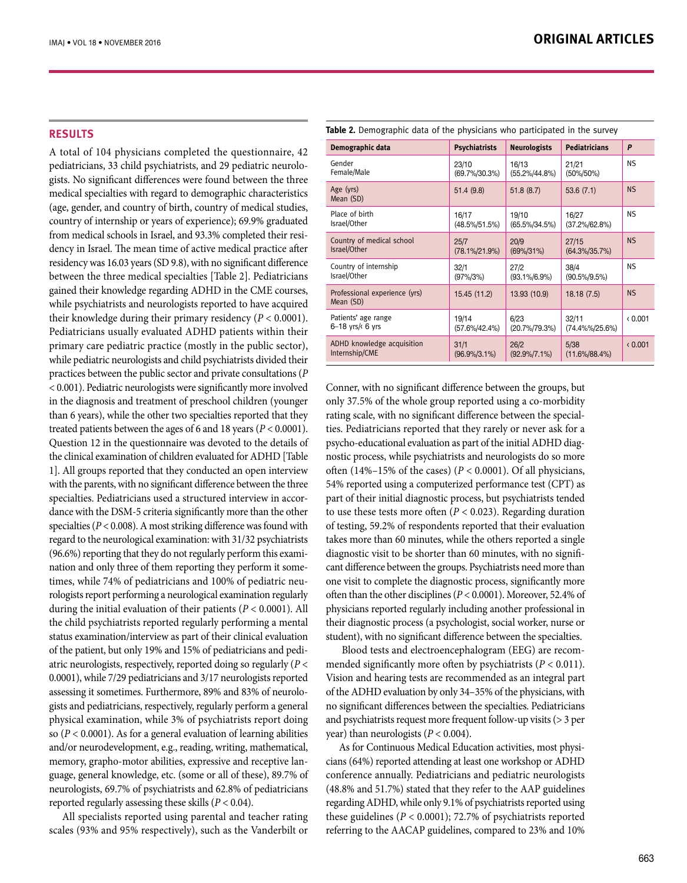## **RESULTS**

A total of 104 physicians completed the questionnaire, 42 pediatricians, 33 child psychiatrists, and 29 pediatric neurologists. No significant differences were found between the three medical specialties with regard to demographic characteristics (age, gender, and country of birth, country of medical studies, country of internship or years of experience); 69.9% graduated from medical schools in Israel, and 93.3% completed their residency in Israel. The mean time of active medical practice after residency was 16.03 years (SD 9.8), with no significant difference between the three medical specialties [Table 2]. Pediatricians gained their knowledge regarding ADHD in the CME courses, while psychiatrists and neurologists reported to have acquired their knowledge during their primary residency (*P* < 0.0001). Pediatricians usually evaluated ADHD patients within their primary care pediatric practice (mostly in the public sector), while pediatric neurologists and child psychiatrists divided their practices between the public sector and private consultations (*P*  < 0.001). Pediatric neurologists were significantly more involved in the diagnosis and treatment of preschool children (younger than 6 years), while the other two specialties reported that they treated patients between the ages of 6 and 18 years (*P* < 0.0001). Question 12 in the questionnaire was devoted to the details of the clinical examination of children evaluated for ADHD [Table 1]. All groups reported that they conducted an open interview with the parents, with no significant difference between the three specialties. Pediatricians used a structured interview in accordance with the DSM-5 criteria significantly more than the other specialties (*P* < 0.008). A most striking difference was found with regard to the neurological examination: with 31/32 psychiatrists (96.6%) reporting that they do not regularly perform this examination and only three of them reporting they perform it sometimes, while 74% of pediatricians and 100% of pediatric neurologists report performing a neurological examination regularly during the initial evaluation of their patients (*P* < 0.0001). All the child psychiatrists reported regularly performing a mental status examination/interview as part of their clinical evaluation of the patient, but only 19% and 15% of pediatricians and pediatric neurologists, respectively, reported doing so regularly (*P* < 0.0001), while 7/29 pediatricians and 3/17 neurologists reported assessing it sometimes. Furthermore, 89% and 83% of neurologists and pediatricians, respectively, regularly perform a general physical examination, while 3% of psychiatrists report doing so  $(P < 0.0001)$ . As for a general evaluation of learning abilities and/or neurodevelopment, e.g., reading, writing, mathematical, memory, grapho-motor abilities, expressive and receptive language, general knowledge, etc. (some or all of these), 89.7% of neurologists, 69.7% of psychiatrists and 62.8% of pediatricians reported regularly assessing these skills (*P* < 0.04).

All specialists reported using parental and teacher rating scales (93% and 95% respectively), such as the Vanderbilt or

| <b>Rable L.</b> Demographic data of the physicians who participated in the survey |                      |                     |                      |           |  |  |
|-----------------------------------------------------------------------------------|----------------------|---------------------|----------------------|-----------|--|--|
| Demographic data                                                                  | <b>Psychiatrists</b> | <b>Neurologists</b> | <b>Pediatricians</b> | P         |  |  |
| Gender                                                                            | 23/10                | 16/13               | 21/21                | NS.       |  |  |
| Female/Male                                                                       | $(69.7\%/30.3\%)$    | $(55.2\%/44.8\%)$   | $(50\%/50\%)$        |           |  |  |
| Age (yrs)<br>Mean (SD)                                                            | 51.4(9.8)            | 51.8(8.7)           | 53.6(7.1)            | <b>NS</b> |  |  |
| Place of birth                                                                    | 16/17                | 19/10               | 16/27                | <b>NS</b> |  |  |
| Israel/Other                                                                      | $(48.5\%/51.5\%)$    | $(65.5\%/34.5\%)$   | $(37.2\%/62.8\%)$    |           |  |  |
| Country of medical school                                                         | 25/7                 | 20/9                | 27/15                | <b>NS</b> |  |  |
| Israel/Other                                                                      | $(78.1\%/21.9\%)$    | $(69\%/31\%)$       | $(64.3\%/35.7\%)$    |           |  |  |
| Country of internship                                                             | 32/1                 | 27/2                | 38/4                 | NS.       |  |  |
| Israel/Other                                                                      | $(97\%/3\%)$         | $(93.1\%/6.9\%)$    | $(90.5\%/9.5\%)$     |           |  |  |
| Professional experience (yrs)<br>Mean (SD)                                        | 15.45 (11.2)         | 13.93 (10.9)        | 18.18(7.5)           | <b>NS</b> |  |  |
| Patients' age range                                                               | 19/14                | 6/23                | 32/11                | (0.001)   |  |  |
| $6-18$ yrs/ $\epsilon$ 6 yrs                                                      | $(57.6\%/42.4\%)$    | $(20.7\%/79.3\%)$   | $(74.4\%% / 25.6%)$  |           |  |  |
| ADHD knowledge acquisition                                                        | 31/1                 | 26/2                | 5/38                 | (0.001)   |  |  |
| Internship/CME                                                                    | $(96.9\%/3.1\%)$     | $(92.9\%/7.1\%)$    | $(11.6\%/88.4\%)$    |           |  |  |
|                                                                                   |                      |                     |                      |           |  |  |

Conner, with no significant difference between the groups, but only 37.5% of the whole group reported using a co-morbidity rating scale, with no significant difference between the specialties. Pediatricians reported that they rarely or never ask for a psycho-educational evaluation as part of the initial ADHD diagnostic process, while psychiatrists and neurologists do so more often (14%–15% of the cases) ( $P < 0.0001$ ). Of all physicians, 54% reported using a computerized performance test (CPT) as part of their initial diagnostic process, but psychiatrists tended to use these tests more often (*P* < 0.023). Regarding duration of testing, 59.2% of respondents reported that their evaluation takes more than 60 minutes, while the others reported a single diagnostic visit to be shorter than 60 minutes, with no significant difference between the groups. Psychiatrists need more than one visit to complete the diagnostic process, significantly more often than the other disciplines (*P* < 0.0001). Moreover, 52.4% of physicians reported regularly including another professional in their diagnostic process (a psychologist, social worker, nurse or student), with no significant difference between the specialties.

 Blood tests and electroencephalogram (EEG) are recommended significantly more often by psychiatrists (*P* < 0.011). Vision and hearing tests are recommended as an integral part of the ADHD evaluation by only 34–35% of the physicians, with no significant differences between the specialties. Pediatricians and psychiatrists request more frequent follow-up visits (> 3 per year) than neurologists (*P* < 0.004).

As for Continuous Medical Education activities, most physicians (64%) reported attending at least one workshop or ADHD conference annually. Pediatricians and pediatric neurologists (48.8% and 51.7%) stated that they refer to the AAP guidelines regarding ADHD, while only 9.1% of psychiatrists reported using these guidelines (*P* < 0.0001); 72.7% of psychiatrists reported referring to the AACAP guidelines, compared to 23% and 10%